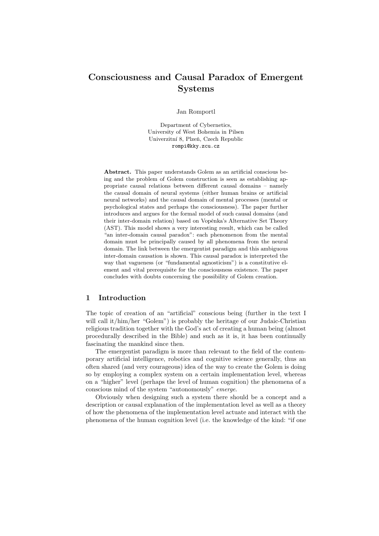# Consciousness and Causal Paradox of Emergent Systems

Jan Romportl

Department of Cybernetics, University of West Bohemia in Pilsen Univerzitní 8, Plzeň, Czech Republic rompi@kky.zcu.cz

Abstract. This paper understands Golem as an artificial conscious being and the problem of Golem construction is seen as establishing appropriate causal relations between different causal domains – namely the causal domain of neural systems (either human brains or artificial neural networks) and the causal domain of mental processes (mental or psychological states and perhaps the consciousness). The paper further introduces and argues for the formal model of such causal domains (and their inter-domain relation) based on Vopěnka's Alternative Set Theory (AST). This model shows a very interesting result, which can be called "an inter-domain causal paradox": each phenomenon from the mental domain must be principally caused by all phenomena from the neural domain. The link between the emergentist paradigm and this ambiguous inter-domain causation is shown. This causal paradox is interpreted the way that vagueness (or "fundamental agnosticism") is a constitutive element and vital prerequisite for the consciousness existence. The paper concludes with doubts concerning the possibility of Golem creation.

#### 1 Introduction

The topic of creation of an "artificial" conscious being (further in the text I will call it/him/her "Golem") is probably the heritage of our Judaic-Christian religious tradition together with the God's act of creating a human being (almost procedurally described in the Bible) and such as it is, it has been continually fascinating the mankind since then.

The emergentist paradigm is more than relevant to the field of the contemporary artificial intelligence, robotics and cognitive science generally, thus an often shared (and very courageous) idea of the way to create the Golem is doing so by employing a complex system on a certain implementation level, whereas on a "higher" level (perhaps the level of human cognition) the phenomena of a conscious mind of the system "autonomously" emerge.

Obviously when designing such a system there should be a concept and a description or causal explanation of the implementation level as well as a theory of how the phenomena of the implementation level actuate and interact with the phenomena of the human cognition level (i.e. the knowledge of the kind: "if one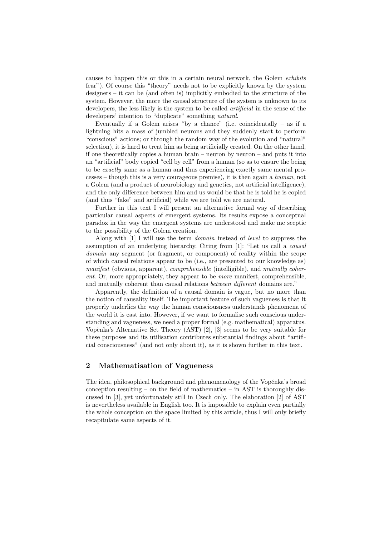causes to happen this or this in a certain neural network, the Golem exhibits fear"). Of course this "theory" needs not to be explicitly known by the system designers – it can be (and often is) implicitly embodied to the structure of the system. However, the more the causal structure of the system is unknown to its developers, the less likely is the system to be called *artificial* in the sense of the developers' intention to "duplicate" something natural.

Eventually if a Golem arises "by a chance" (i.e. coincidentally  $-$  as if a lightning hits a mass of jumbled neurons and they suddenly start to perform "conscious" actions; or through the random way of the evolution and "natural" selection), it is hard to treat him as being artificially created. On the other hand, if one theoretically copies a human brain – neuron by neuron – and puts it into an "artificial" body copied "cell by cell" from a human (so as to ensure the being to be exactly same as a human and thus experiencing exactly same mental processes – though this is a very courageous premise), it is then again a human, not a Golem (and a product of neurobiology and genetics, not artificial intelligence), and the only difference between him and us would be that he is told he is copied (and thus "fake" and artificial) while we are told we are natural.

Further in this text I will present an alternative formal way of describing particular causal aspects of emergent systems. Its results expose a conceptual paradox in the way the emergent systems are understood and make me sceptic to the possibility of the Golem creation.

Along with [1] I will use the term domain instead of level to suppress the assumption of an underlying hierarchy. Citing from [1]: "Let us call a causal domain any segment (or fragment, or component) of reality within the scope of which causal relations appear to be (i.e., are presented to our knowledge as) manifest (obvious, apparent), comprehensible (intelligible), and mutually coherent. Or, more appropriately, they appear to be more manifest, comprehensible, and mutually coherent than causal relations between different domains are."

Apparently, the definition of a causal domain is vague, but no more than the notion of causality itself. The important feature of such vagueness is that it properly underlies the way the human consciousness understands phenomena of the world it is cast into. However, if we want to formalise such conscious understanding and vagueness, we need a proper formal (e.g. mathematical) apparatus. Vopěnka's Alternative Set Theory (AST) [2], [3] seems to be very suitable for these purposes and its utilisation contributes substantial findings about "artificial consciousness" (and not only about it), as it is shown further in this text.

## 2 Mathematisation of Vagueness

The idea, philosophical background and phenomenology of the Vopěnka's broad conception resulting – on the field of mathematics – in AST is thoroughly discussed in [3], yet unfortunately still in Czech only. The elaboration [2] of AST is nevertheless available in English too. It is impossible to explain even partially the whole conception on the space limited by this article, thus I will only briefly recapitulate same aspects of it.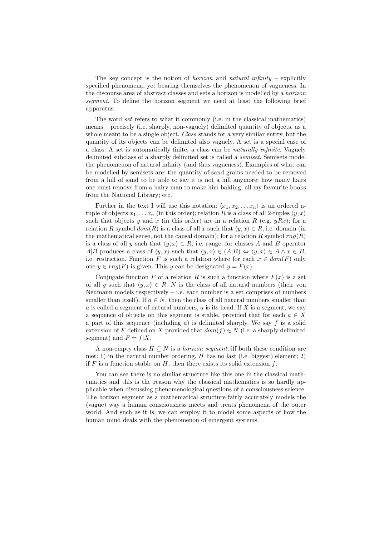The key concept is the notion of *horizon* and *natural infinity* – explicitly specified phenomena, yet bearing themselves the phenomenon of vagueness. In the discourse area of abstract classes and sets a horizon is modelled by a horizon segment. To define the horizon segment we need at least the following brief apparatus:

The word set refers to what it commonly (i.e. in the classical mathematics) means – precisely (i.e. sharply, non-vaguely) delimited quantity of objects, as a whole meant to be a single object. Class stands for a very similar entity, but the quantity of its objects can be delimited also vaguely. A set is a special case of a class. A set is automatically finite, a class can be naturally infinite. Vaguely delimited subclass of a sharply delimited set is called a semiset. Semisets model the phenomenon of natural infinity (and thus vagueness). Examples of what can be modelled by semisets are: the quantity of sand grains needed to be removed from a hill of sand to be able to say it is not a hill anymore; how many hairs one must remove from a hairy man to make him balding; all my favourite books from the National Library; etc.

Further in the text I will use this notation:  $\langle x_1, x_2, \ldots x_n \rangle$  is an ordered ntuple of objects  $x_1, \ldots x_n$  (in this order); relation R is a class of all 2-tuples  $\langle y, x \rangle$ such that objects y and x (in this order) are in a relation R (e.g.  $yRx$ ); for a relation R symbol  $dom(R)$  is a class of all x such that  $\langle y, x \rangle \in R$ , i.e. domain (in the mathematical sense, not the causal domain); for a relation R symbol  $rng(R)$ is a class of all y such that  $\langle y, x \rangle \in R$ , i.e. range; for classes A and B operator A|B produces a class of  $\langle y, x \rangle$  such that  $\langle y, x \rangle \in (A|B) \Leftrightarrow \langle y, x \rangle \in A \land x \in B$ , i.e. restriction. Function F is such a relation where for each  $x \in dom(F)$  only one  $y \in rng(F)$  is given. This y can be designated  $y = F(x)$ .

Conjugate function F of a relation R is such a function where  $F(x)$  is a set of all y such that  $\langle y, x \rangle \in R$ . N is the class of all natural numbers (their von Neumann models respectively  $-$  i.e. each number is a set comprises of numbers smaller than itself). If  $a \in N$ , then the class of all natural numbers smaller than  $a$  is called a segment of natural numbers,  $a$  is its head. If  $X$  is a segment, we say a sequence of objects on this segment is stable, provided that for each  $a \in X$ a part of this sequence (including  $a$ ) is delimited sharply. We say f is a solid extension of F defined on X provided that  $dom(f) \in N$  (i.e. a sharply delimited segment) and  $F = f|X$ .

A non-empty class  $H \subseteq N$  is a *horizon segment*, iff both these condition are met: 1) in the natural number ordering,  $H$  has no last (i.e. biggest) element; 2) if F is a function stable on H, then there exists its solid extension  $f$ .

You can see there is no similar structure like this one in the classical mathematics and this is the reason why the classical mathematics is so hardly applicable when discussing phenomenological questions of a consciousness science. The horizon segment as a mathematical structure fairly accurately models the (vague) way a human consciousness meets and treats phenomena of the outer world. And such as it is, we can employ it to model some aspects of how the human mind deals with the phenomenon of emergent systems.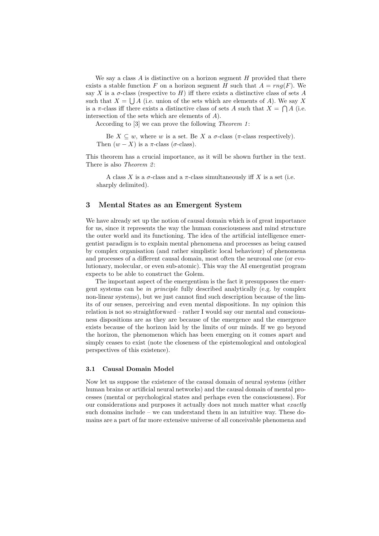We say a class  $A$  is distinctive on a horizon segment  $H$  provided that there exists a stable function F on a horizon segment H such that  $A = rng(F)$ . We say X is a  $\sigma$ -class (respective to H) iff there exists a distinctive class of sets A such that  $X = \bigcup A$  (i.e. union of the sets which are elements of A). We say X is a  $\pi$ -class iff there exists a distinctive class of sets A such that  $X = \bigcap A$  (i.e. intersection of the sets which are elements of A).

According to  $[3]$  we can prove the following *Theorem 1*:

Be  $X \subseteq w$ , where w is a set. Be X a  $\sigma$ -class ( $\pi$ -class respectively). Then  $(w - X)$  is a  $\pi$ -class ( $\sigma$ -class).

This theorem has a crucial importance, as it will be shown further in the text. There is also *Theorem 2*:

A class X is a  $\sigma$ -class and a  $\pi$ -class simultaneously iff X is a set (i.e. sharply delimited).

## 3 Mental States as an Emergent System

We have already set up the notion of causal domain which is of great importance for us, since it represents the way the human consciousness and mind structure the outer world and its functioning. The idea of the artificial intelligence emergentist paradigm is to explain mental phenomena and processes as being caused by complex organisation (and rather simplistic local behaviour) of phenomena and processes of a different causal domain, most often the neuronal one (or evolutionary, molecular, or even sub-atomic). This way the AI emergentist program expects to be able to construct the Golem.

The important aspect of the emergentism is the fact it presupposes the emergent systems can be in principle fully described analytically (e.g. by complex non-linear systems), but we just cannot find such description because of the limits of our senses, perceiving and even mental dispositions. In my opinion this relation is not so straightforward – rather I would say our mental and consciousness dispositions are as they are because of the emergence and the emergence exists because of the horizon laid by the limits of our minds. If we go beyond the horizon, the phenomenon which has been emerging on it comes apart and simply ceases to exist (note the closeness of the epistemological and ontological perspectives of this existence).

#### 3.1 Causal Domain Model

Now let us suppose the existence of the causal domain of neural systems (either human brains or artificial neural networks) and the causal domain of mental processes (mental or psychological states and perhaps even the consciousness). For our considerations and purposes it actually does not much matter what exactly such domains include – we can understand them in an intuitive way. These domains are a part of far more extensive universe of all conceivable phenomena and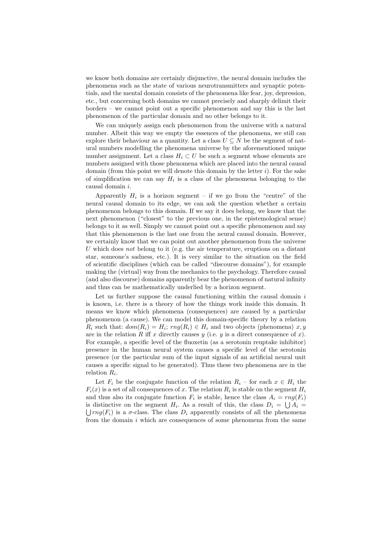we know both domains are certainly disjunctive, the neural domain includes the phenomena such as the state of various neurotransmitters and synaptic potentials, and the mental domain consists of the phenomena like fear, joy, depression, etc., but concerning both domains we cannot precisely and sharply delimit their borders – we cannot point out a specific phenomenon and say this is the last phenomenon of the particular domain and no other belongs to it.

We can uniquely assign each phenomenon from the universe with a natural number. Albeit this way we empty the essences of the phenomena, we still can explore their behaviour as a quantity. Let a class  $U \subseteq N$  be the segment of natural numbers modelling the phenomena universe by the aforementioned unique number assignment. Let a class  $H_i \subset U$  be such a segment whose elements are numbers assigned with those phenomena which are placed into the neural causal domain (from this point we will denote this domain by the letter  $i$ ). For the sake of simplification we can say  $H_i$  is a class of the phenomena belonging to the causal domain i.

Apparently  $H_i$  is a horizon segment – if we go from the "centre" of the neural causal domain to its edge, we can ask the question whether a certain phenomenon belongs to this domain. If we say it does belong, we know that the next phenomenon ("closest" to the previous one, in the epistemological sense) belongs to it as well. Simply we cannot point out a specific phenomenon and say that this phenomenon is the last one from the neural causal domain. However, we certainly know that we can point out another phenomenon from the universe U which does not belong to it (e.g. the air temperature, eruptions on a distant star, someone's sadness, etc.). It is very similar to the situation on the field of scientific disciplines (which can be called "discourse domains"), for example making the (virtual) way from the mechanics to the psychology. Therefore causal (and also discourse) domains apparently bear the phenomenon of natural infinity and thus can be mathematically underlied by a horizon segment.

Let us further suppose the causal functioning within the causal domain  $i$ is known, i.e. there is a theory of how the things work inside this domain. It means we know which phenomena (consequences) are caused by a particular phenomenon (a cause). We can model this domain-specific theory by a relation  $R_i$  such that:  $dom(R_i) = H_i$ ;  $rng(R_i) \in H_i$  and two objects (phenomena)  $x, y$ are in the relation R iff x directly causes  $y$  (i.e.  $y$  is a direct consequence of  $x$ ). For example, a specific level of the fluoxetin (as a serotonin reuptake inhibitor) presence in the human neural system causes a specific level of the serotonin presence (or the particular sum of the input signals of an artificial neural unit causes a specific signal to be generated). Thus these two phenomena are in the relation  $R_i$ .

Let  $F_i$  be the conjugate function of the relation  $R_i$  – for each  $x \in H_i$  the  $F_i(x)$  is a set of all consequences of x. The relation  $R_i$  is stable on the segment  $H_i$ and thus also its conjugate function  $F_i$  is stable, hence the class  $A_i = rng(F_i)$ is distinctive on the segment  $H_i$ . As a result of this, the class  $D_i = \bigcup A_i = \bigcup \{T_i : |T_i| \leq \delta \}$  is a  $\sigma$ -class. The class  $D_i$  apparently consists of all the phenomena  $\int \frac{r}{nq(F_i)}$  is a  $\sigma$ -class. The class  $D_i$  apparently consists of all the phenomena from the domain  $i$  which are consequences of some phenomena from the same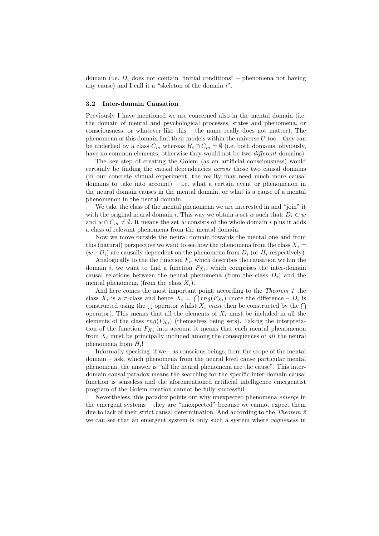domain (i.e.  $D_i$  does not contain "initial conditions" – phenomena not having any cause) and I call it a "skeleton of the domain  $i$ ".

#### 3.2 Inter-domain Causation

Previously I have mentioned we are concerned also in the mental domain (i.e. the domain of mental and psychological processes, states and phenomena, or consciousness, or whatever like this – the name really does not matter). The phenomena of this domain find their models within the universe  $U$  too – they can be underlied by a class  $C_m$  whereas  $H_i \cap C_m = \emptyset$  (i.e. both domains, obviously, have no common elements, otherwise they would not be two *different* domains).

The key step of creating the Golem (as an artificial consciousness) would certainly be finding the causal dependencies across those two causal domains (in our concrete virtual experiment; the reality may need much more causal domains to take into account) – i.e. what a certain event or phenomenon in the neural domain causes in the mental domain, or what is a cause of a mental phenomenon in the neural domain.

We take the class of the mental phenomena we are interested in and "join" it with the original neural domain i. This way we obtain a set w such that:  $D_i \subset w$ and  $w \cap C_m \neq \emptyset$ . It means the set w consists of the whole domain i plus it adds a class of relevant phenomena from the mental domain.

Now we move outside the neural domain towards the mental one and from this (natural) perspective we want to see how the phenomena from the class  $X_i =$  $(w-D_i)$  are causally dependent on the phenomena from  $D_i$  (or  $H_i$  respectively).

Analogically to the the function  $F_i$ , which describes the causation within the domain i, we want to find a function  $F_{Xi}$ , which comprises the inter-domain causal relations between the neural phenomena (from the class  $D_i$ ) and the mental phenomena (from the class  $X_i$ ).

And here comes the most important point: according to the Theorem 1 the class  $X_i$  is a  $\pi$ -class and hence  $X_i = \bigcap rng(F_{X_i})$  (note the difference –  $D_i$  is constructed using the  $\bigcup$  operator whilst  $X_i$  must then be constructed by the  $\bigcap$ operator). This means that all the elements of  $X_i$  must be included in all the elements of the class  $rng(F_{Xi})$  (themselves being sets). Taking the interpretation of the function  $F_{Xi}$  into account it means that each mental phenomenon from  $X_i$  must be principally included among the consequences of all the neural phenomena from  $H_i!$ 

Informally speaking: if we – as conscious beings, from the scope of the mental domain – ask, which phenomena from the neural level cause particular mental phenomena, the answer is "all the neural phenomena are the cause". This interdomain causal paradox means the searching for the specific inter-domain causal function is senseless and the aforementioned artificial intelligence emergentist program of the Golem creation cannot be fully successful.

Nevertheless, this paradox points out why unexpected phenomena emerge in the emergent systems – they are "unexpected" because we cannot expect them due to lack of their strict causal determination. And according to the Theorem 2 we can see that an emergent system is only such a system where *vagueness* in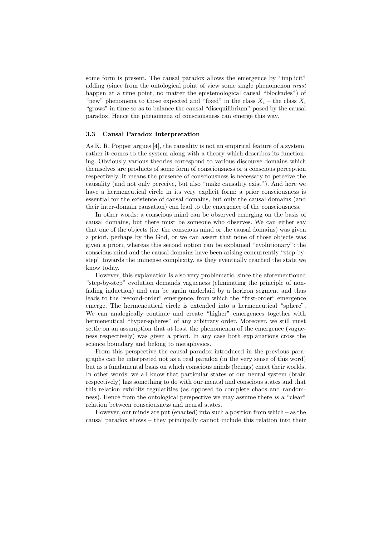some form is present. The causal paradox allows the emergence by "implicit" adding (since from the ontological point of view some single phenomenon *must* happen at a time point, no matter the epistemological causal "blockades") of "new" phenomena to those expected and "fixed" in the class  $X_i$  – the class  $X_i$ "grows" in time so as to balance the causal "disequilibrium" posed by the causal paradox. Hence the phenomena of consciousness can emerge this way.

#### 3.3 Causal Paradox Interpretation

As K. R. Popper argues [4], the causality is not an empirical feature of a system, rather it comes to the system along with a theory which describes its functioning. Obviously various theories correspond to various discourse domains which themselves are products of some form of consciousness or a conscious perception respectively. It means the presence of consciousness is necessary to perceive the causality (and not only perceive, but also "make causality exist"). And here we have a hermeneutical circle in its very explicit form: a prior consciousness is essential for the existence of causal domains, but only the causal domains (and their inter-domain causation) can lead to the emergence of the consciousness.

In other words: a conscious mind can be observed emerging on the basis of causal domains, but there must be someone who observes. We can either say that one of the objects (i.e. the conscious mind or the causal domains) was given a priori, perhaps by the God, or we can assert that none of those objects was given a priori, whereas this second option can be explained "evolutionary": the conscious mind and the causal domains have been arising concurrently "step-bystep" towards the immense complexity, as they eventually reached the state we know today.

However, this explanation is also very problematic, since the aforementioned "step-by-step" evolution demands vagueness (eliminating the principle of nonfading induction) and can be again underlaid by a horizon segment and thus leads to the "second-order" emergence, from which the "first-order" emergence emerge. The hermeneutical circle is extended into a hermeneutical "sphere". We can analogically continue and create "higher" emergences together with hermeneutical "hyper-spheres" of any arbitrary order. Moreover, we still must settle on an assumption that at least the phenomenon of the emergence (vagueness respectively) was given a priori. In any case both explanations cross the science boundary and belong to metaphysics.

From this perspective the causal paradox introduced in the previous paragraphs can be interpreted not as a real paradox (in the very sense of this word) but as a fundamental basis on which conscious minds (beings) enact their worlds. In other words: we all know that particular states of our neural system (brain respectively) has something to do with our mental and conscious states and that this relation exhibits regularities (as opposed to complete chaos and randomness). Hence from the ontological perspective we may assume there is a "clear" relation between consciousness and neural states.

However, our minds are put (enacted) into such a position from which – as the causal paradox shows – they principally cannot include this relation into their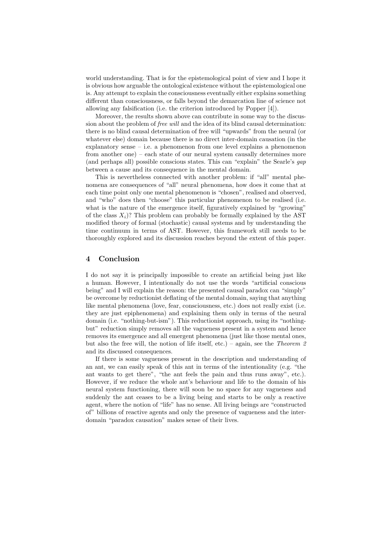world understanding. That is for the epistemological point of view and I hope it is obvious how arguable the ontological existence without the epistemological one is. Any attempt to explain the consciousness eventually either explains something different than consciousness, or falls beyond the demarcation line of science not allowing any falsification (i.e. the criterion introduced by Popper [4]).

Moreover, the results shown above can contribute in some way to the discussion about the problem of free will and the idea of its blind causal determination: there is no blind causal determination of free will "upwards" from the neural (or whatever else) domain because there is no direct inter-domain causation (in the explanatory sense – i.e. a phenomenon from one level explains a phenomenon from another one) – each state of our neural system causally determines more (and perhaps all) possible conscious states. This can "explain" the Searle's gap between a cause and its consequence in the mental domain.

This is nevertheless connected with another problem: if "all" mental phenomena are consequences of "all" neural phenomena, how does it come that at each time point only one mental phenomenon is "chosen", realised and observed, and "who" does then "choose" this particular phenomenon to be realised (i.e. what is the nature of the emergence itself, figuratively explained by "growing" of the class  $X_i$ ? This problem can probably be formally explained by the AST modified theory of formal (stochastic) causal systems and by understanding the time continuum in terms of AST. However, this framework still needs to be thoroughly explored and its discussion reaches beyond the extent of this paper.

#### 4 Conclusion

I do not say it is principally impossible to create an artificial being just like a human. However, I intentionally do not use the words "artificial conscious being" and I will explain the reason: the presented causal paradox can "simply" be overcome by reductionist deflating of the mental domain, saying that anything like mental phenomena (love, fear, consciousness, etc.) does not really exist (i.e. they are just epiphenomena) and explaining them only in terms of the neural domain (i.e. "nothing-but-ism"). This reductionist approach, using its "nothingbut" reduction simply removes all the vagueness present in a system and hence removes its emergence and all emergent phenomena (just like those mental ones, but also the free will, the notion of life itself, etc.) – again, see the Theorem 2 and its discussed consequences.

If there is some vagueness present in the description and understanding of an ant, we can easily speak of this ant in terms of the intentionality (e.g. "the ant wants to get there", "the ant feels the pain and thus runs away", etc.). However, if we reduce the whole ant's behaviour and life to the domain of his neural system functioning, there will soon be no space for any vagueness and suddenly the ant ceases to be a living being and starts to be only a reactive agent, where the notion of "life" has no sense. All living beings are "constructed of" billions of reactive agents and only the presence of vagueness and the interdomain "paradox causation" makes sense of their lives.